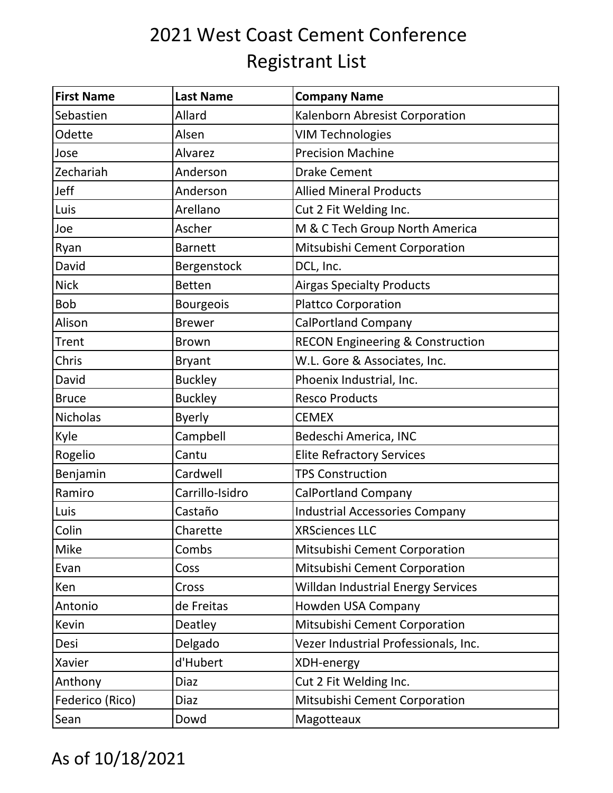| <b>First Name</b> | <b>Last Name</b> | <b>Company Name</b>                         |
|-------------------|------------------|---------------------------------------------|
| Sebastien         | Allard           | Kalenborn Abresist Corporation              |
| Odette            | Alsen            | <b>VIM Technologies</b>                     |
| Jose              | Alvarez          | <b>Precision Machine</b>                    |
| Zechariah         | Anderson         | <b>Drake Cement</b>                         |
| Jeff              | Anderson         | <b>Allied Mineral Products</b>              |
| Luis              | Arellano         | Cut 2 Fit Welding Inc.                      |
| Joe               | Ascher           | M & C Tech Group North America              |
| Ryan              | <b>Barnett</b>   | Mitsubishi Cement Corporation               |
| David             | Bergenstock      | DCL, Inc.                                   |
| <b>Nick</b>       | <b>Betten</b>    | <b>Airgas Specialty Products</b>            |
| <b>Bob</b>        | <b>Bourgeois</b> | <b>Plattco Corporation</b>                  |
| Alison            | <b>Brewer</b>    | <b>CalPortland Company</b>                  |
| Trent             | <b>Brown</b>     | <b>RECON Engineering &amp; Construction</b> |
| Chris             | <b>Bryant</b>    | W.L. Gore & Associates, Inc.                |
| David             | <b>Buckley</b>   | Phoenix Industrial, Inc.                    |
| <b>Bruce</b>      | <b>Buckley</b>   | <b>Resco Products</b>                       |
| <b>Nicholas</b>   | <b>Byerly</b>    | <b>CEMEX</b>                                |
| Kyle              | Campbell         | Bedeschi America, INC                       |
| Rogelio           | Cantu            | <b>Elite Refractory Services</b>            |
| Benjamin          | Cardwell         | <b>TPS Construction</b>                     |
| Ramiro            | Carrillo-Isidro  | <b>CalPortland Company</b>                  |
| Luis              | Castaño          | <b>Industrial Accessories Company</b>       |
| Colin             | Charette         | <b>XRSciences LLC</b>                       |
| Mike              | Combs            | Mitsubishi Cement Corporation               |
| Evan              | Coss             | Mitsubishi Cement Corporation               |
| Ken               | Cross            | <b>Willdan Industrial Energy Services</b>   |
| Antonio           | de Freitas       | Howden USA Company                          |
| Kevin             | Deatley          | Mitsubishi Cement Corporation               |
| Desi              | Delgado          | Vezer Industrial Professionals, Inc.        |
| Xavier            | d'Hubert         | XDH-energy                                  |
| Anthony           | <b>Diaz</b>      | Cut 2 Fit Welding Inc.                      |
| Federico (Rico)   | <b>Diaz</b>      | Mitsubishi Cement Corporation               |
| Sean              | Dowd             | Magotteaux                                  |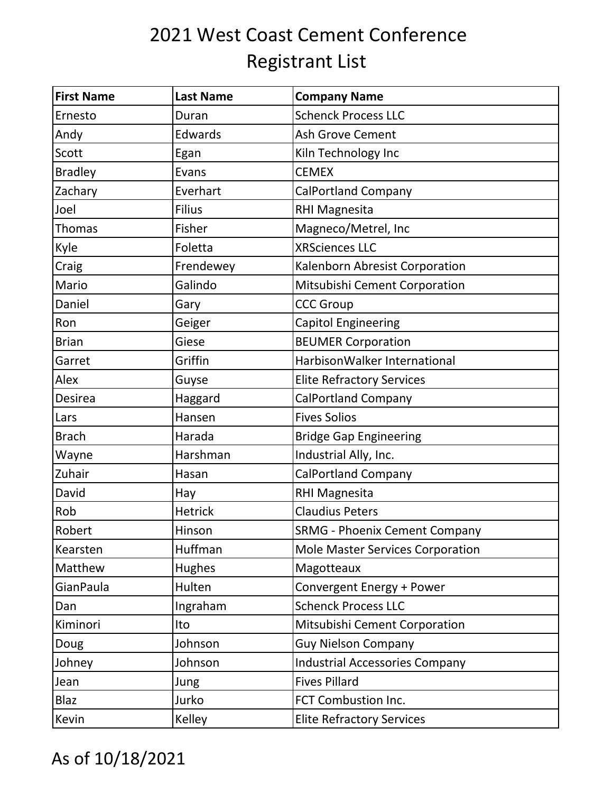| <b>First Name</b> | <b>Last Name</b> | <b>Company Name</b>                     |
|-------------------|------------------|-----------------------------------------|
| Ernesto           | Duran            | <b>Schenck Process LLC</b>              |
| Andy              | Edwards          | Ash Grove Cement                        |
| Scott             | Egan             | Kiln Technology Inc                     |
| <b>Bradley</b>    | Evans            | <b>CEMEX</b>                            |
| Zachary           | Everhart         | CalPortland Company                     |
| Joel              | <b>Filius</b>    | RHI Magnesita                           |
| <b>Thomas</b>     | Fisher           | Magneco/Metrel, Inc                     |
| Kyle              | Foletta          | <b>XRSciences LLC</b>                   |
| Craig             | Frendewey        | Kalenborn Abresist Corporation          |
| Mario             | Galindo          | Mitsubishi Cement Corporation           |
| Daniel            | Gary             | <b>CCC Group</b>                        |
| Ron               | Geiger           | Capitol Engineering                     |
| <b>Brian</b>      | Giese            | <b>BEUMER Corporation</b>               |
| Garret            | Griffin          | HarbisonWalker International            |
| Alex              | Guyse            | <b>Elite Refractory Services</b>        |
| Desirea           | Haggard          | <b>CalPortland Company</b>              |
| Lars              | Hansen           | <b>Fives Solios</b>                     |
| <b>Brach</b>      | Harada           | <b>Bridge Gap Engineering</b>           |
| Wayne             | Harshman         | Industrial Ally, Inc.                   |
| Zuhair            | Hasan            | <b>CalPortland Company</b>              |
| David             | Hay              | RHI Magnesita                           |
| Rob               | Hetrick          | <b>Claudius Peters</b>                  |
| Robert            | Hinson           | <b>SRMG - Phoenix Cement Company</b>    |
| Kearsten          | Huffman          | <b>Mole Master Services Corporation</b> |
| Matthew           | Hughes           | Magotteaux                              |
| GianPaula         | Hulten           | Convergent Energy + Power               |
| Dan               | Ingraham         | <b>Schenck Process LLC</b>              |
| Kiminori          | Ito              | Mitsubishi Cement Corporation           |
| Doug              | Johnson          | <b>Guy Nielson Company</b>              |
| Johney            | Johnson          | <b>Industrial Accessories Company</b>   |
| Jean              | Jung             | <b>Fives Pillard</b>                    |
| <b>Blaz</b>       | Jurko            | FCT Combustion Inc.                     |
| Kevin             | Kelley           | <b>Elite Refractory Services</b>        |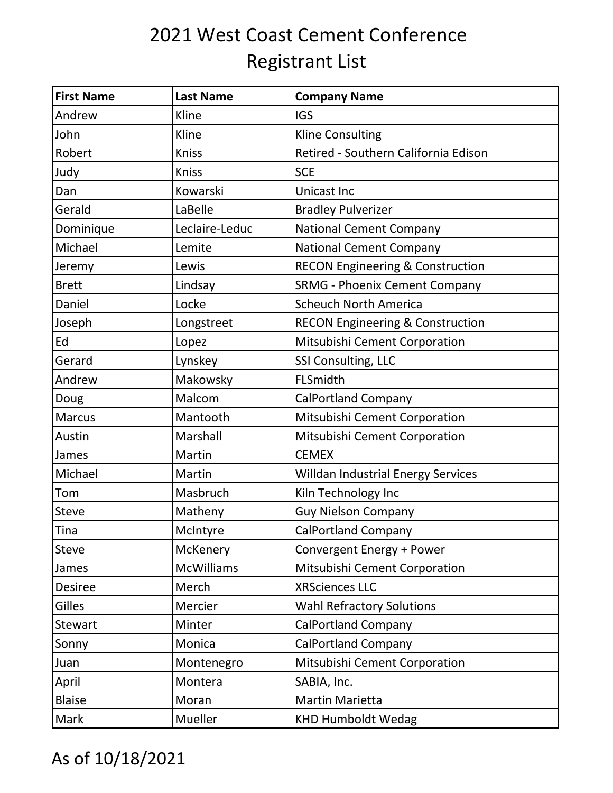| <b>First Name</b> | <b>Last Name</b>  | <b>Company Name</b>                         |
|-------------------|-------------------|---------------------------------------------|
| Andrew            | Kline             | <b>IGS</b>                                  |
| John              | Kline             | <b>Kline Consulting</b>                     |
| Robert            | <b>Kniss</b>      | Retired - Southern California Edison        |
| Judy              | <b>Kniss</b>      | <b>SCE</b>                                  |
| Dan               | Kowarski          | <b>Unicast Inc</b>                          |
| Gerald            | LaBelle           | <b>Bradley Pulverizer</b>                   |
| Dominique         | Leclaire-Leduc    | <b>National Cement Company</b>              |
| Michael           | Lemite            | <b>National Cement Company</b>              |
| Jeremy            | Lewis             | <b>RECON Engineering &amp; Construction</b> |
| <b>Brett</b>      | Lindsay           | <b>SRMG - Phoenix Cement Company</b>        |
| Daniel            | Locke             | <b>Scheuch North America</b>                |
| Joseph            | Longstreet        | <b>RECON Engineering &amp; Construction</b> |
| Ed                | Lopez             | Mitsubishi Cement Corporation               |
| Gerard            | Lynskey           | SSI Consulting, LLC                         |
| Andrew            | Makowsky          | FLSmidth                                    |
| Doug              | Malcom            | <b>CalPortland Company</b>                  |
| <b>Marcus</b>     | Mantooth          | Mitsubishi Cement Corporation               |
| Austin            | Marshall          | Mitsubishi Cement Corporation               |
| James             | Martin            | <b>CEMEX</b>                                |
| Michael           | Martin            | Willdan Industrial Energy Services          |
| Tom               | Masbruch          | Kiln Technology Inc                         |
| <b>Steve</b>      | Matheny           | <b>Guy Nielson Company</b>                  |
| Tina              | McIntyre          | <b>CalPortland Company</b>                  |
| Steve             | McKenery          | Convergent Energy + Power                   |
| James             | <b>McWilliams</b> | Mitsubishi Cement Corporation               |
| <b>Desiree</b>    | Merch             | <b>XRSciences LLC</b>                       |
| Gilles            | Mercier           | <b>Wahl Refractory Solutions</b>            |
| Stewart           | Minter            | <b>CalPortland Company</b>                  |
| Sonny             | Monica            | <b>CalPortland Company</b>                  |
| Juan              | Montenegro        | Mitsubishi Cement Corporation               |
| April             | Montera           | SABIA, Inc.                                 |
| <b>Blaise</b>     | Moran             | <b>Martin Marietta</b>                      |
| Mark              | Mueller           | <b>KHD Humboldt Wedag</b>                   |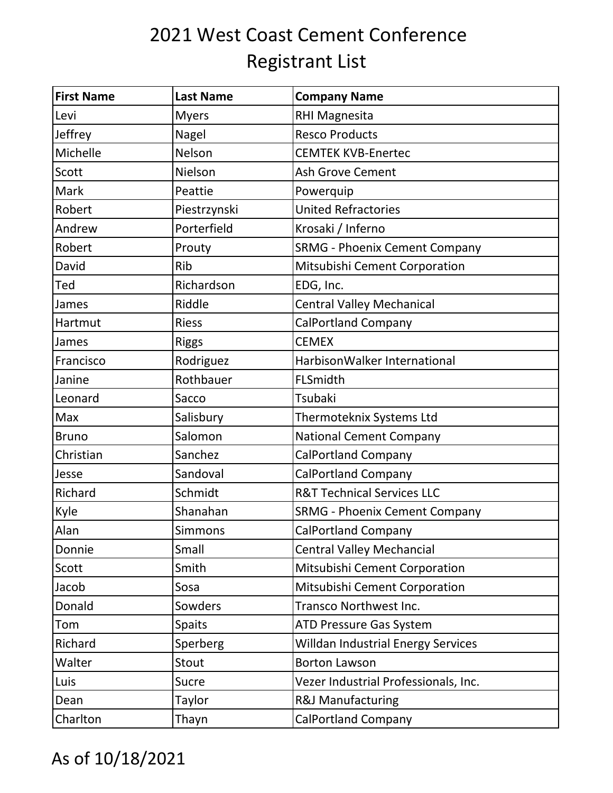| <b>First Name</b> | <b>Last Name</b> | <b>Company Name</b>                       |
|-------------------|------------------|-------------------------------------------|
| Levi              | <b>Myers</b>     | RHI Magnesita                             |
| Jeffrey           | Nagel            | <b>Resco Products</b>                     |
| Michelle          | Nelson           | <b>CEMTEK KVB-Enertec</b>                 |
| Scott             | Nielson          | Ash Grove Cement                          |
| Mark              | Peattie          | Powerquip                                 |
| Robert            | Piestrzynski     | <b>United Refractories</b>                |
| Andrew            | Porterfield      | Krosaki / Inferno                         |
| Robert            | Prouty           | <b>SRMG - Phoenix Cement Company</b>      |
| David             | Rib              | Mitsubishi Cement Corporation             |
| Ted               | Richardson       | EDG, Inc.                                 |
| James             | Riddle           | <b>Central Valley Mechanical</b>          |
| Hartmut           | <b>Riess</b>     | <b>CalPortland Company</b>                |
| James             | <b>Riggs</b>     | <b>CEMEX</b>                              |
| Francisco         | Rodriguez        | HarbisonWalker International              |
| Janine            | Rothbauer        | FLSmidth                                  |
| Leonard           | Sacco            | Tsubaki                                   |
| Max               | Salisbury        | Thermoteknix Systems Ltd                  |
| <b>Bruno</b>      | Salomon          | <b>National Cement Company</b>            |
| Christian         | Sanchez          | <b>CalPortland Company</b>                |
| Jesse             | Sandoval         | <b>CalPortland Company</b>                |
| Richard           | Schmidt          | <b>R&amp;T Technical Services LLC</b>     |
| Kyle              | Shanahan         | <b>SRMG - Phoenix Cement Company</b>      |
| Alan              | Simmons          | <b>CalPortland Company</b>                |
| Donnie            | Small            | <b>Central Valley Mechancial</b>          |
| Scott             | Smith            | Mitsubishi Cement Corporation             |
| Jacob             | Sosa             | Mitsubishi Cement Corporation             |
| Donald            | Sowders          | Transco Northwest Inc.                    |
| Tom               | <b>Spaits</b>    | <b>ATD Pressure Gas System</b>            |
| Richard           | Sperberg         | <b>Willdan Industrial Energy Services</b> |
| Walter            | Stout            | <b>Borton Lawson</b>                      |
| Luis              | Sucre            | Vezer Industrial Professionals, Inc.      |
| Dean              | Taylor           | R&J Manufacturing                         |
| Charlton          | Thayn            | <b>CalPortland Company</b>                |